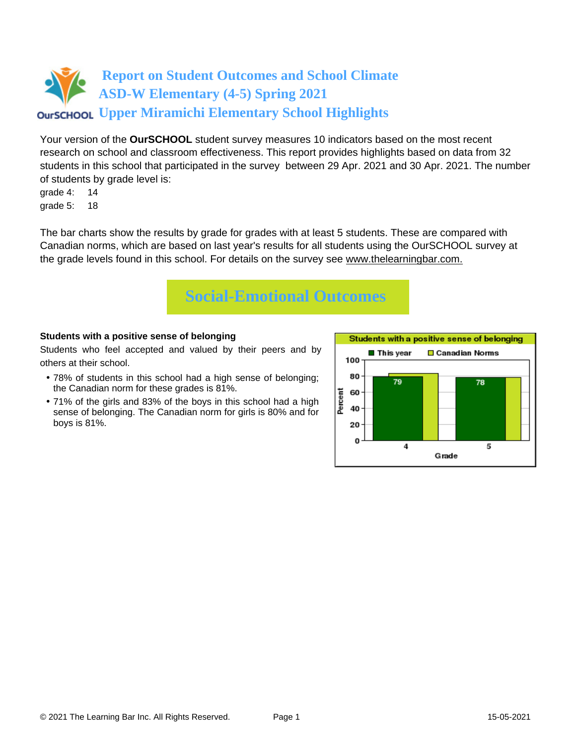

Your version of the **OurSCHOOL** student survey measures 10 indicators based on the most recent research on school and classroom effectiveness. This report provides highlights based on data from 32 students in this school that participated in the survey between 29 Apr. 2021 and 30 Apr. 2021. The number of students by grade level is:

grade 4: 14 grade 5: 18

The bar charts show the results by grade for grades with at least 5 students. These are compared with Canadian norms, which are based on last year's results for all students using the OurSCHOOL survey at the grade levels found in this school. For details on the survey see [www.thelearningbar.com.](www.thelearningbar.com)



## **Students with a positive sense of belonging**

Students who feel accepted and valued by their peers and by others at their school.

- 78% of students in this school had a high sense of belonging; the Canadian norm for these grades is 81%.
- 71% of the girls and 83% of the boys in this school had a high sense of belonging. The Canadian norm for girls is 80% and for boys is 81%.

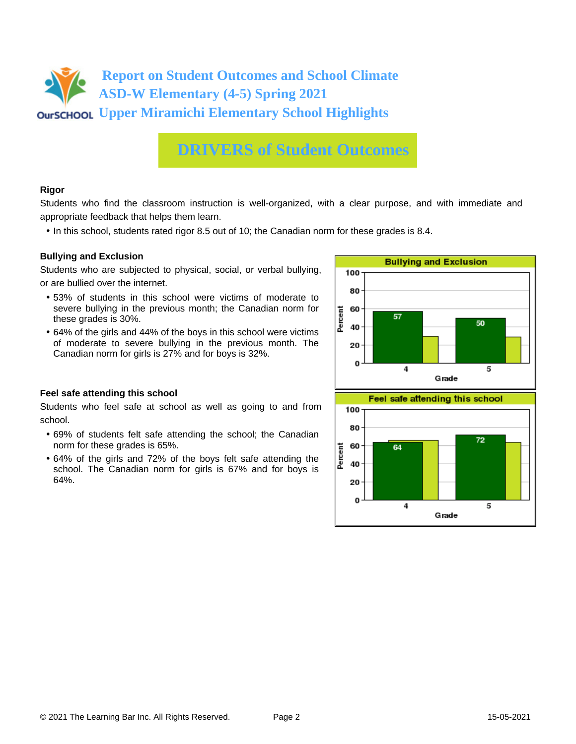

## **DRIVERS of Student Outcomes**

#### **Rigor**

Students who find the classroom instruction is well-organized, with a clear purpose, and with immediate and appropriate feedback that helps them learn.

• In this school, students rated rigor 8.5 out of 10; the Canadian norm for these grades is 8.4.

#### **Bullying and Exclusion**

Students who are subjected to physical, social, or verbal bullying, or are bullied over the internet.

- 53% of students in this school were victims of moderate to severe bullying in the previous month; the Canadian norm for these grades is 30%.
- 64% of the girls and 44% of the boys in this school were victims of moderate to severe bullying in the previous month. The Canadian norm for girls is 27% and for boys is 32%.



Grade

## **Feel safe attending this school**

Students who feel safe at school as well as going to and from school.

- 69% of students felt safe attending the school; the Canadian norm for these grades is 65%.
- 64% of the girls and 72% of the boys felt safe attending the school. The Canadian norm for girls is 67% and for boys is 64%.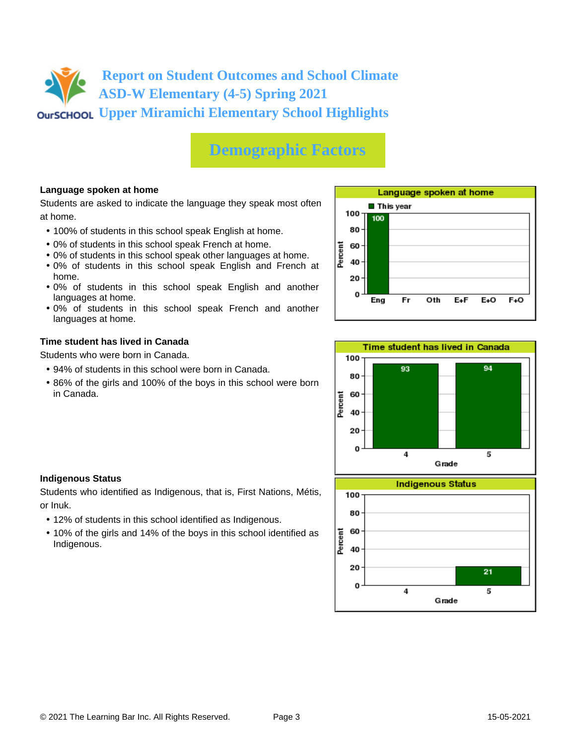# **Report on Student Outcomes and School Climate ASD-W Elementary (4-5) Spring 2021 Upper Miramichi Elementary School Highlights**

# **Demographic Factors**

## **Language spoken at home**

Students are asked to indicate the language they speak most often at home.

- 100% of students in this school speak English at home.
- 0% of students in this school speak French at home.
- 0% of students in this school speak other languages at home.
- 0% of students in this school speak English and French at home.
- 0% of students in this school speak English and another languages at home.
- 0% of students in this school speak French and another languages at home.

#### **Time student has lived in Canada**

Students who were born in Canada.

- 94% of students in this school were born in Canada.
- 86% of the girls and 100% of the boys in this school were born in Canada.





## **Indigenous Status**

Students who identified as Indigenous, that is, First Nations, Métis, or Inuk.

- 12% of students in this school identified as Indigenous.
- 10% of the girls and 14% of the boys in this school identified as Indigenous.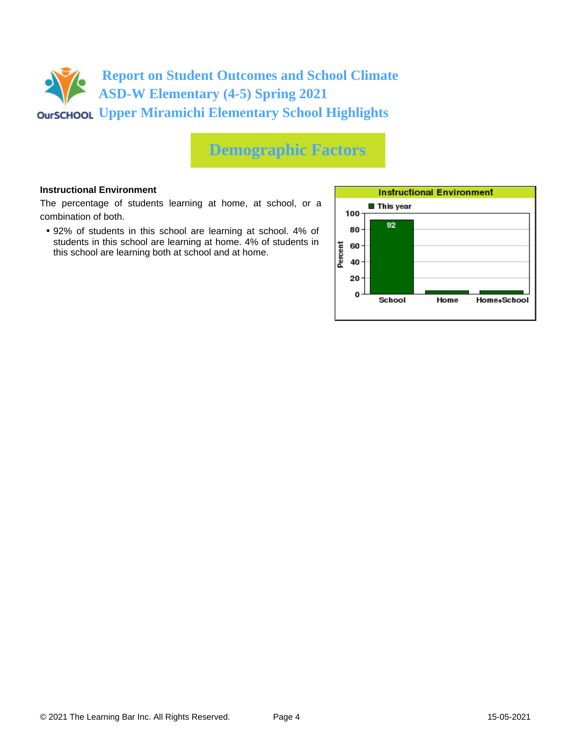

## **Demographic Factors**

#### **Instructional Environment**

The percentage of students learning at home, at school, or a combination of both.

• 92% of students in this school are learning at school. 4% of students in this school are learning at home. 4% of students in this school are learning both at school and at home.

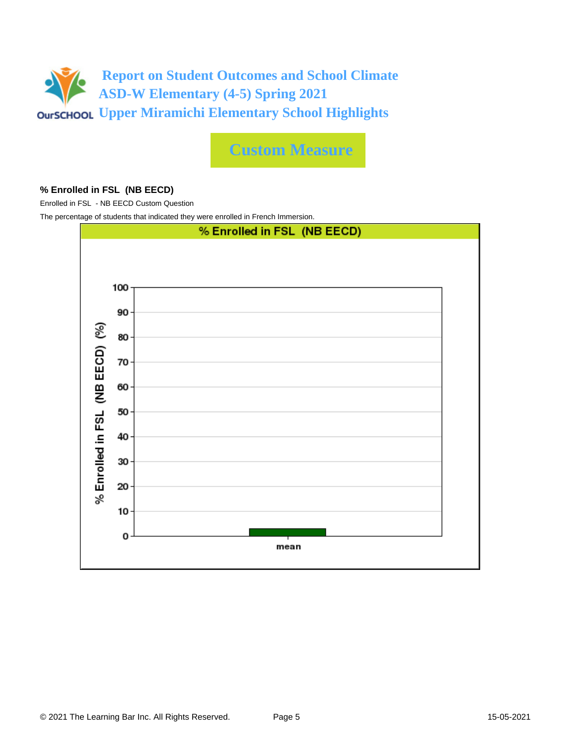

**Custom Measure**

#### **% Enrolled in FSL (NB EECD)**

Enrolled in FSL - NB EECD Custom Question

The percentage of students that indicated they were enrolled in French Immersion.

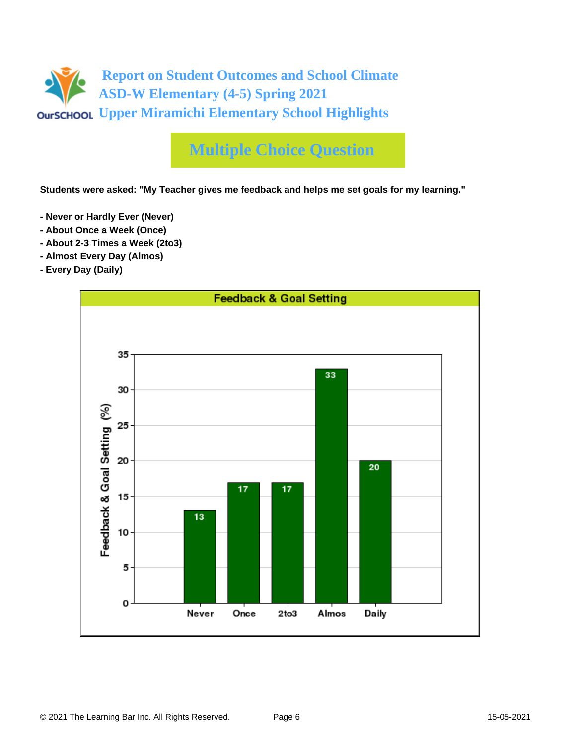

# **Multiple Choice Question**

**Students were asked: "My Teacher gives me feedback and helps me set goals for my learning."**

- **Never or Hardly Ever (Never)**
- **About Once a Week (Once)**
- **About 2-3 Times a Week (2to3)**
- **Almost Every Day (Almos)**
- **Every Day (Daily)**